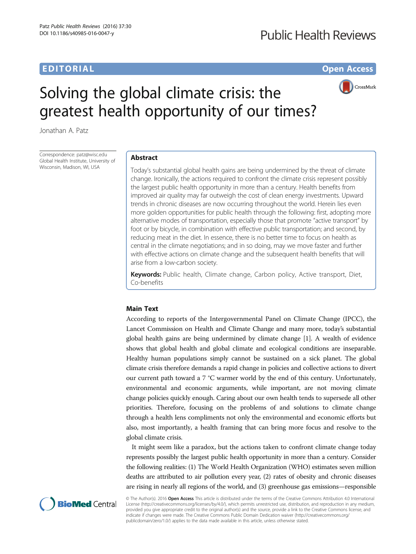# EDITORIAL CONTRACT CONTRACT CONTRACT CONTRACT CONTRACT CONTRACT CONTRACT CONTRACT CONTRACT CONTRACT CONTRACT CO



# Solving the global climate crisis: the greatest health opportunity of our times?

Jonathan A. Patz

Correspondence: [patz@wisc.edu](mailto:patz@wisc.edu) Global Health Institute, University of Wisconsin, Madison, WI, USA

## Abstract

Today's substantial global health gains are being undermined by the threat of climate change. Ironically, the actions required to confront the climate crisis represent possibly the largest public health opportunity in more than a century. Health benefits from improved air quality may far outweigh the cost of clean energy investments. Upward trends in chronic diseases are now occurring throughout the world. Herein lies even more golden opportunities for public health through the following: first, adopting more alternative modes of transportation, especially those that promote "active transport" by foot or by bicycle, in combination with effective public transportation; and second, by reducing meat in the diet. In essence, there is no better time to focus on health as central in the climate negotiations; and in so doing, may we move faster and further with effective actions on climate change and the subsequent health benefits that will arise from a low-carbon society.

Keywords: Public health, Climate change, Carbon policy, Active transport, Diet, Co-benefits

## Main Text

According to reports of the Intergovernmental Panel on Climate Change (IPCC), the Lancet Commission on Health and Climate Change and many more, today's substantial global health gains are being undermined by climate change [\[1](#page-2-0)]. A wealth of evidence shows that global health and global climate and ecological conditions are inseparable. Healthy human populations simply cannot be sustained on a sick planet. The global climate crisis therefore demands a rapid change in policies and collective actions to divert our current path toward a 7 °C warmer world by the end of this century. Unfortunately, environmental and economic arguments, while important, are not moving climate change policies quickly enough. Caring about our own health tends to supersede all other priorities. Therefore, focusing on the problems of and solutions to climate change through a health lens compliments not only the environmental and economic efforts but also, most importantly, a health framing that can bring more focus and resolve to the global climate crisis.

It might seem like a paradox, but the actions taken to confront climate change today represents possibly the largest public health opportunity in more than a century. Consider the following realities: (1) The World Health Organization (WHO) estimates seven million deaths are attributed to air pollution every year, (2) rates of obesity and chronic diseases are rising in nearly all regions of the world, and (3) greenhouse gas emissions—responsible



© The Author(s). 2016 Open Access This article is distributed under the terms of the Creative Commons Attribution 4.0 International License ([http://creativecommons.org/licenses/by/4.0/\)](http://creativecommons.org/licenses/by/4.0/), which permits unrestricted use, distribution, and reproduction in any medium, provided you give appropriate credit to the original author(s) and the source, provide a link to the Creative Commons license, and indicate if changes were made. The Creative Commons Public Domain Dedication waiver ([http://creativecommons.org/](http://creativecommons.org/publicdomain/zero/1.0/) [publicdomain/zero/1.0/\)](http://creativecommons.org/publicdomain/zero/1.0/) applies to the data made available in this article, unless otherwise stated.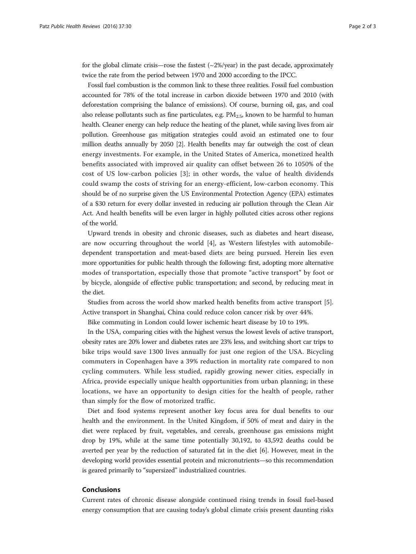for the global climate crisis—rose the fastest  $\left(\sim 2\% / year\right)$  in the past decade, approximately twice the rate from the period between 1970 and 2000 according to the IPCC.

Fossil fuel combustion is the common link to these three realities. Fossil fuel combustion accounted for 78% of the total increase in carbon dioxide between 1970 and 2010 (with deforestation comprising the balance of emissions). Of course, burning oil, gas, and coal also release pollutants such as fine particulates, e.g.  $PM_{2.5}$ , known to be harmful to human health. Cleaner energy can help reduce the heating of the planet, while saving lives from air pollution. Greenhouse gas mitigation strategies could avoid an estimated one to four million deaths annually by 2050 [\[2\]](#page-2-0). Health benefits may far outweigh the cost of clean energy investments. For example, in the United States of America, monetized health benefits associated with improved air quality can offset between 26 to 1050% of the cost of US low-carbon policies [\[3\]](#page-2-0); in other words, the value of health dividends could swamp the costs of striving for an energy-efficient, low-carbon economy. This should be of no surprise given the US Environmental Protection Agency (EPA) estimates of a \$30 return for every dollar invested in reducing air pollution through the Clean Air Act. And health benefits will be even larger in highly polluted cities across other regions of the world.

Upward trends in obesity and chronic diseases, such as diabetes and heart disease, are now occurring throughout the world [[4\]](#page-2-0), as Western lifestyles with automobiledependent transportation and meat-based diets are being pursued. Herein lies even more opportunities for public health through the following: first, adopting more alternative modes of transportation, especially those that promote "active transport" by foot or by bicycle, alongside of effective public transportation; and second, by reducing meat in the diet.

Studies from across the world show marked health benefits from active transport [\[5](#page-2-0)]. Active transport in Shanghai, China could reduce colon cancer risk by over 44%.

Bike commuting in London could lower ischemic heart disease by 10 to 19%.

In the USA, comparing cities with the highest versus the lowest levels of active transport, obesity rates are 20% lower and diabetes rates are 23% less, and switching short car trips to bike trips would save 1300 lives annually for just one region of the USA. Bicycling commuters in Copenhagen have a 39% reduction in mortality rate compared to non cycling commuters. While less studied, rapidly growing newer cities, especially in Africa, provide especially unique health opportunities from urban planning; in these locations, we have an opportunity to design cities for the health of people, rather than simply for the flow of motorized traffic.

Diet and food systems represent another key focus area for dual benefits to our health and the environment. In the United Kingdom, if 50% of meat and dairy in the diet were replaced by fruit, vegetables, and cereals, greenhouse gas emissions might drop by 19%, while at the same time potentially 30,192, to 43,592 deaths could be averted per year by the reduction of saturated fat in the diet [[6\]](#page-2-0). However, meat in the developing world provides essential protein and micronutrients—so this recommendation is geared primarily to "supersized" industrialized countries.

## Conclusions

Current rates of chronic disease alongside continued rising trends in fossil fuel-based energy consumption that are causing today's global climate crisis present daunting risks